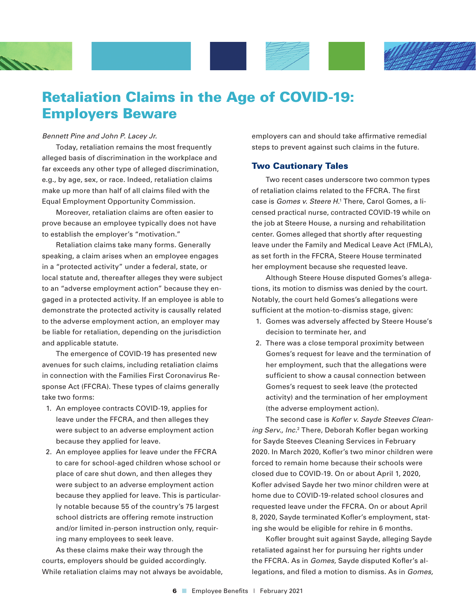

# Retaliation Claims in the Age of COVID-19: Employers Beware

#### *Bennett Pine and John P. Lacey Jr.*

Today, retaliation remains the most frequently alleged basis of discrimination in the workplace and far exceeds any other type of alleged discrimination, e.g., by age, sex, or race. Indeed, retaliation claims make up more than half of all claims filed with the Equal Employment Opportunity Commission.

Moreover, retaliation claims are often easier to prove because an employee typically does not have to establish the employer's "motivation."

Retaliation claims take many forms. Generally speaking, a claim arises when an employee engages in a "protected activity" under a federal, state, or local statute and, thereafter alleges they were subject to an "adverse employment action" because they engaged in a protected activity. If an employee is able to demonstrate the protected activity is causally related to the adverse employment action, an employer may be liable for retaliation, depending on the jurisdiction and applicable statute.

The emergence of COVID-19 has presented new avenues for such claims, including retaliation claims in connection with the Families First Coronavirus Response Act (FFCRA). These types of claims generally take two forms:

- 1. An employee contracts COVID-19, applies for leave under the FFCRA, and then alleges they were subject to an adverse employment action because they applied for leave.
- 2. An employee applies for leave under the FFCRA to care for school-aged children whose school or place of care shut down, and then alleges they were subject to an adverse employment action because they applied for leave. This is particularly notable because 55 of the country's 75 largest school districts are offering remote instruction and/or limited in-person instruction only, requiring many employees to seek leave.

As these claims make their way through the courts, employers should be guided accordingly. While retaliation claims may not always be avoidable, employers can and should take affirmative remedial steps to prevent against such claims in the future.

#### Two Cautionary Tales

Two recent cases underscore two common types of retaliation claims related to the FFCRA. The first case is *Gomes v. Steere H.*<sup>1</sup> There, Carol Gomes, a licensed practical nurse, contracted COVID-19 while on the job at Steere House, a nursing and rehabilitation center. Gomes alleged that shortly after requesting leave under the Family and Medical Leave Act (FMLA), as set forth in the FFCRA, Steere House terminated her employment because she requested leave.

Although Steere House disputed Gomes's allegations, its motion to dismiss was denied by the court. Notably, the court held Gomes's allegations were sufficient at the motion-to-dismiss stage, given:

- 1. Gomes was adversely affected by Steere House's decision to terminate her, and
- 2. There was a close temporal proximity between Gomes's request for leave and the termination of her employment, such that the allegations were sufficient to show a causal connection between Gomes's request to seek leave (the protected activity) and the termination of her employment (the adverse employment action).

The second case is *Kofler v. Sayde Steeves Clean*ing Serv., Inc.<sup>2</sup> There, Deborah Kofler began working for Sayde Steeves Cleaning Services in February 2020. In March 2020, Kofler's two minor children were forced to remain home because their schools were closed due to COVID-19. On or about April 1, 2020, Kofler advised Sayde her two minor children were at home due to COVID-19-related school closures and requested leave under the FFCRA. On or about April 8, 2020, Sayde terminated Kofler's employment, stating she would be eligible for rehire in 6 months.

Kofler brought suit against Sayde, alleging Sayde retaliated against her for pursuing her rights under the FFCRA. As in *Gomes,* Sayde disputed Kofler's allegations, and filed a motion to dismiss. As in *Gomes,*